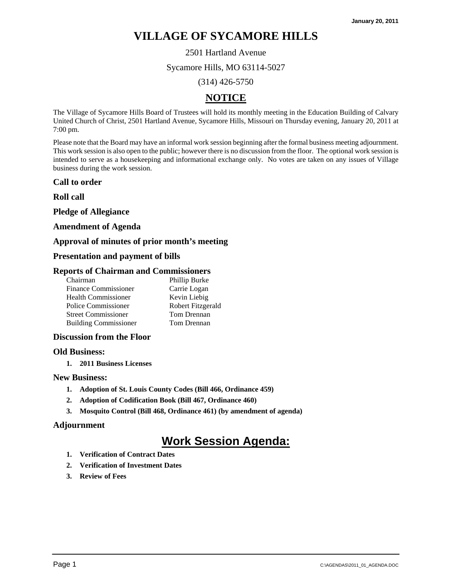2501 Hartland Avenue

Sycamore Hills, MO 63114-5027

(314) 426-5750

## **NOTICE**

The Village of Sycamore Hills Board of Trustees will hold its monthly meeting in the Education Building of Calvary United Church of Christ, 2501 Hartland Avenue, Sycamore Hills, Missouri on Thursday evening, January 20, 2011 at 7:00 pm.

Please note that the Board may have an informal work session beginning after the formal business meeting adjournment. This work session is also open to the public; however there is no discussion from the floor. The optional work session is intended to serve as a housekeeping and informational exchange only. No votes are taken on any issues of Village business during the work session.

## **Call to order**

**Roll call** 

**Pledge of Allegiance** 

#### **Amendment of Agenda**

## **Approval of minutes of prior month's meeting**

## **Presentation and payment of bills**

#### **Reports of Chairman and Commissioners**

| Phillip Burke     |
|-------------------|
| Carrie Logan      |
| Kevin Liebig      |
| Robert Fitzgerald |
| Tom Drennan       |
| Tom Drennan       |
|                   |

## **Discussion from the Floor**

#### **Old Business:**

**1. 2011 Business Licenses** 

## **New Business:**

- **1. Adoption of St. Louis County Codes (Bill 466, Ordinance 459)**
- **2. Adoption of Codification Book (Bill 467, Ordinance 460)**
- **3. Mosquito Control (Bill 468, Ordinance 461) (by amendment of agenda)**

## **Adjournment**

- **1. Verification of Contract Dates**
- **2. Verification of Investment Dates**
- **3. Review of Fees**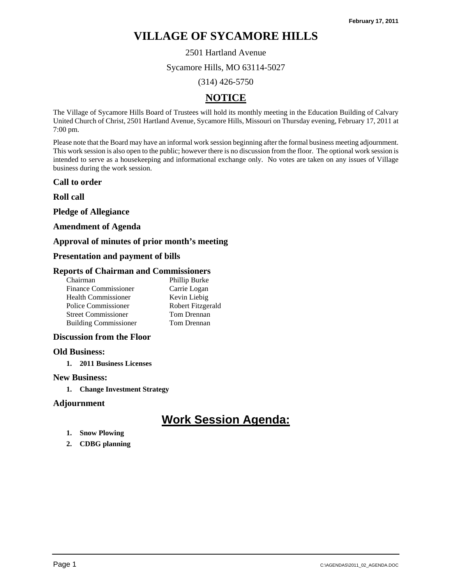2501 Hartland Avenue

Sycamore Hills, MO 63114-5027

(314) 426-5750

## **NOTICE**

The Village of Sycamore Hills Board of Trustees will hold its monthly meeting in the Education Building of Calvary United Church of Christ, 2501 Hartland Avenue, Sycamore Hills, Missouri on Thursday evening, February 17, 2011 at 7:00 pm.

Please note that the Board may have an informal work session beginning after the formal business meeting adjournment. This work session is also open to the public; however there is no discussion from the floor. The optional work session is intended to serve as a housekeeping and informational exchange only. No votes are taken on any issues of Village business during the work session.

## **Call to order**

**Roll call** 

**Pledge of Allegiance** 

## **Amendment of Agenda**

## **Approval of minutes of prior month's meeting**

## **Presentation and payment of bills**

## **Reports of Chairman and Commissioners**

| Chairman                     | Phillip Burke     |
|------------------------------|-------------------|
| <b>Finance Commissioner</b>  | Carrie Logan      |
| <b>Health Commissioner</b>   | Kevin Liebig      |
| Police Commissioner          | Robert Fitzgerald |
| <b>Street Commissioner</b>   | Tom Drennan       |
| <b>Building Commissioner</b> | Tom Drennan       |

## **Discussion from the Floor**

#### **Old Business:**

**1. 2011 Business Licenses** 

## **New Business:**

**1. Change Investment Strategy** 

## **Adjournment**

- **1. Snow Plowing**
- **2. CDBG planning**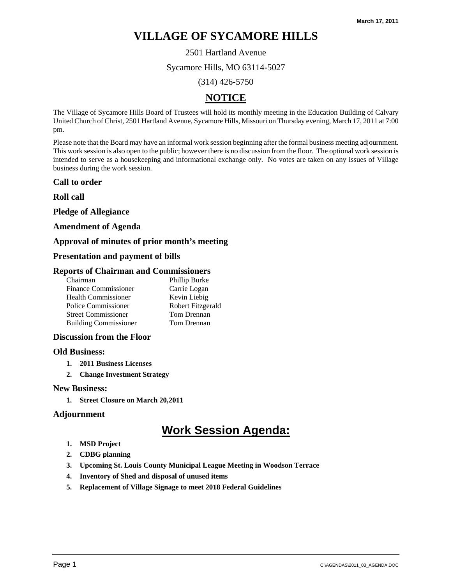2501 Hartland Avenue

Sycamore Hills, MO 63114-5027

(314) 426-5750

## **NOTICE**

The Village of Sycamore Hills Board of Trustees will hold its monthly meeting in the Education Building of Calvary United Church of Christ, 2501 Hartland Avenue, Sycamore Hills, Missouri on Thursday evening, March 17, 2011 at 7:00 pm.

Please note that the Board may have an informal work session beginning after the formal business meeting adjournment. This work session is also open to the public; however there is no discussion from the floor. The optional work session is intended to serve as a housekeeping and informational exchange only. No votes are taken on any issues of Village business during the work session.

## **Call to order**

**Roll call** 

**Pledge of Allegiance** 

## **Amendment of Agenda**

## **Approval of minutes of prior month's meeting**

## **Presentation and payment of bills**

## **Reports of Chairman and Commissioners**

| Phillip Burke     |
|-------------------|
| Carrie Logan      |
| Kevin Liebig      |
| Robert Fitzgerald |
| Tom Drennan       |
| Tom Drennan       |
|                   |

## **Discussion from the Floor**

#### **Old Business:**

- **1. 2011 Business Licenses**
- **2. Change Investment Strategy**

#### **New Business:**

**1. Street Closure on March 20,2011** 

## **Adjournment**

- **1. MSD Project**
- **2. CDBG planning**
- **3. Upcoming St. Louis County Municipal League Meeting in Woodson Terrace**
- **4. Inventory of Shed and disposal of unused items**
- **5. Replacement of Village Signage to meet 2018 Federal Guidelines**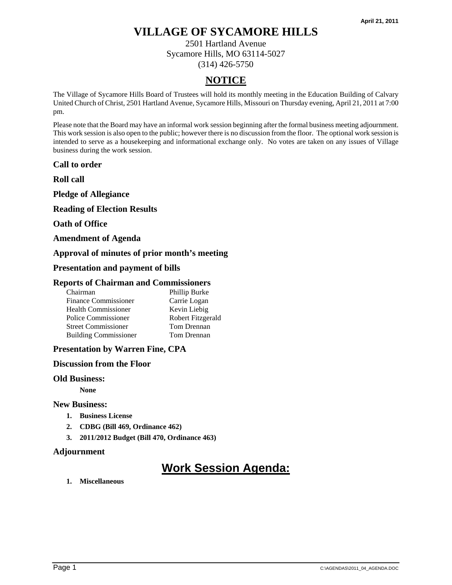2501 Hartland Avenue Sycamore Hills, MO 63114-5027 (314) 426-5750

## **NOTICE**

The Village of Sycamore Hills Board of Trustees will hold its monthly meeting in the Education Building of Calvary United Church of Christ, 2501 Hartland Avenue, Sycamore Hills, Missouri on Thursday evening, April 21, 2011 at 7:00 pm.

Please note that the Board may have an informal work session beginning after the formal business meeting adjournment. This work session is also open to the public; however there is no discussion from the floor. The optional work session is intended to serve as a housekeeping and informational exchange only. No votes are taken on any issues of Village business during the work session.

**Call to order** 

**Roll call** 

**Pledge of Allegiance** 

**Reading of Election Results** 

**Oath of Office** 

**Amendment of Agenda** 

## **Approval of minutes of prior month's meeting**

**Presentation and payment of bills** 

#### **Reports of Chairman and Commissioners**

| Chairman                     | Phillip Burke     |
|------------------------------|-------------------|
| <b>Finance Commissioner</b>  | Carrie Logan      |
| <b>Health Commissioner</b>   | Kevin Liebig      |
| Police Commissioner          | Robert Fitzgerald |
| <b>Street Commissioner</b>   | Tom Drennan       |
| <b>Building Commissioner</b> | Tom Drennan       |

## **Presentation by Warren Fine, CPA**

#### **Discussion from the Floor**

#### **Old Business:**

 **None** 

#### **New Business:**

- **1. Business License**
- **2. CDBG (Bill 469, Ordinance 462)**
- **3. 2011/2012 Budget (Bill 470, Ordinance 463)**

## **Adjournment**

# **Work Session Agenda:**

**1. Miscellaneous**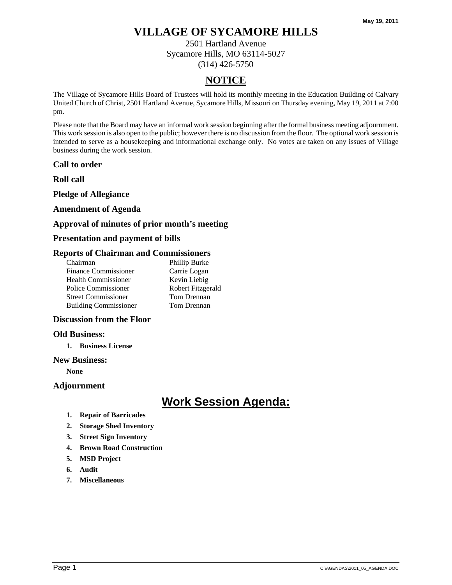2501 Hartland Avenue Sycamore Hills, MO 63114-5027 (314) 426-5750

## **NOTICE**

The Village of Sycamore Hills Board of Trustees will hold its monthly meeting in the Education Building of Calvary United Church of Christ, 2501 Hartland Avenue, Sycamore Hills, Missouri on Thursday evening, May 19, 2011 at 7:00 pm.

Please note that the Board may have an informal work session beginning after the formal business meeting adjournment. This work session is also open to the public; however there is no discussion from the floor. The optional work session is intended to serve as a housekeeping and informational exchange only. No votes are taken on any issues of Village business during the work session.

## **Call to order**

**Roll call** 

## **Pledge of Allegiance**

## **Amendment of Agenda**

## **Approval of minutes of prior month's meeting**

## **Presentation and payment of bills**

## **Reports of Chairman and Commissioners**

| Chairman                     | Phillip Burke     |
|------------------------------|-------------------|
| <b>Finance Commissioner</b>  | Carrie Logan      |
| <b>Health Commissioner</b>   | Kevin Liebig      |
| Police Commissioner          | Robert Fitzgerald |
| <b>Street Commissioner</b>   | Tom Drennan       |
| <b>Building Commissioner</b> | Tom Drennan       |
|                              |                   |

## **Discussion from the Floor**

## **Old Business:**

**1. Business License** 

#### **New Business:**

**None** 

## **Adjournment**

- **1. Repair of Barricades**
- **2. Storage Shed Inventory**
- **3. Street Sign Inventory**
- **4. Brown Road Construction**
- **5. MSD Project**
- **6. Audit**
- **7. Miscellaneous**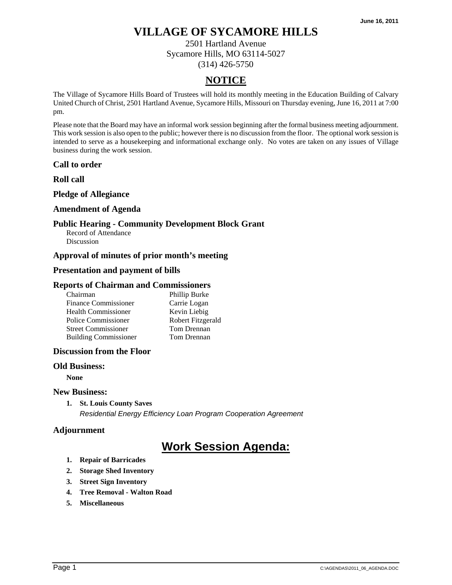2501 Hartland Avenue Sycamore Hills, MO 63114-5027 (314) 426-5750

## **NOTICE**

The Village of Sycamore Hills Board of Trustees will hold its monthly meeting in the Education Building of Calvary United Church of Christ, 2501 Hartland Avenue, Sycamore Hills, Missouri on Thursday evening, June 16, 2011 at 7:00 pm.

Please note that the Board may have an informal work session beginning after the formal business meeting adjournment. This work session is also open to the public; however there is no discussion from the floor. The optional work session is intended to serve as a housekeeping and informational exchange only. No votes are taken on any issues of Village business during the work session.

## **Call to order**

**Roll call** 

## **Pledge of Allegiance**

## **Amendment of Agenda**

## **Public Hearing - Community Development Block Grant**

Record of Attendance **Discussion** 

## **Approval of minutes of prior month's meeting**

## **Presentation and payment of bills**

## **Reports of Chairman and Commissioners**

| Chairman                     | Phillip Burke     |
|------------------------------|-------------------|
| <b>Finance Commissioner</b>  | Carrie Logan      |
| <b>Health Commissioner</b>   | Kevin Liebig      |
| Police Commissioner          | Robert Fitzgerald |
| <b>Street Commissioner</b>   | Tom Drennan       |
| <b>Building Commissioner</b> | Tom Drennan       |

## **Discussion from the Floor**

#### **Old Business:**

**None** 

#### **New Business:**

**1. St. Louis County Saves** 

*Residential Energy Efficiency Loan Program Cooperation Agreement* 

## **Adjournment**

- **1. Repair of Barricades**
- **2. Storage Shed Inventory**
- **3. Street Sign Inventory**
- **4. Tree Removal Walton Road**
- **5. Miscellaneous**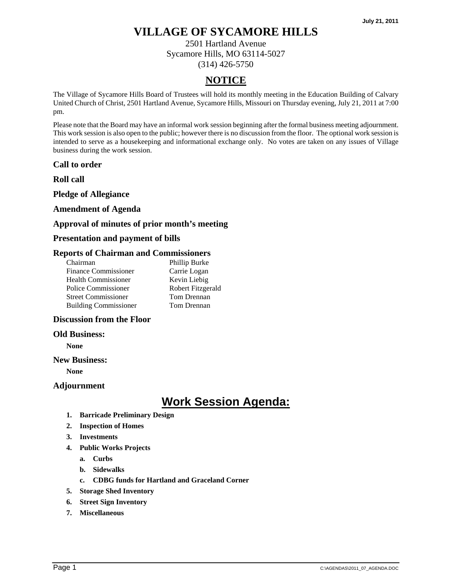2501 Hartland Avenue Sycamore Hills, MO 63114-5027 (314) 426-5750

## **NOTICE**

The Village of Sycamore Hills Board of Trustees will hold its monthly meeting in the Education Building of Calvary United Church of Christ, 2501 Hartland Avenue, Sycamore Hills, Missouri on Thursday evening, July 21, 2011 at 7:00 pm.

Please note that the Board may have an informal work session beginning after the formal business meeting adjournment. This work session is also open to the public; however there is no discussion from the floor. The optional work session is intended to serve as a housekeeping and informational exchange only. No votes are taken on any issues of Village business during the work session.

**Call to order** 

**Roll call** 

**Pledge of Allegiance** 

## **Amendment of Agenda**

## **Approval of minutes of prior month's meeting**

## **Presentation and payment of bills**

## **Reports of Chairman and Commissioners**

| Chairman                     | Phillip Burke     |
|------------------------------|-------------------|
| <b>Finance Commissioner</b>  | Carrie Logan      |
| <b>Health Commissioner</b>   | Kevin Liebig      |
| Police Commissioner          | Robert Fitzgerald |
| <b>Street Commissioner</b>   | Tom Drennan       |
| <b>Building Commissioner</b> | Tom Drennan       |
|                              |                   |

## **Discussion from the Floor**

#### **Old Business:**

**None** 

#### **New Business:**

**None** 

#### **Adjournment**

- **1. Barricade Preliminary Design**
- **2. Inspection of Homes**
- **3. Investments**
- **4. Public Works Projects** 
	- **a. Curbs** 
		- **b. Sidewalks**
		- **c. CDBG funds for Hartland and Graceland Corner**
- **5. Storage Shed Inventory**
- **6. Street Sign Inventory**
- **7. Miscellaneous**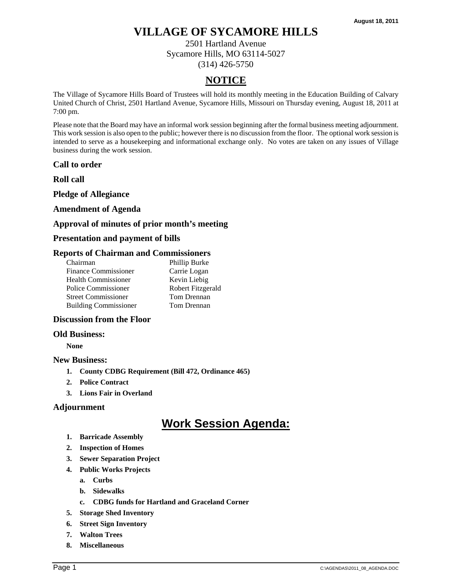2501 Hartland Avenue Sycamore Hills, MO 63114-5027 (314) 426-5750

## **NOTICE**

The Village of Sycamore Hills Board of Trustees will hold its monthly meeting in the Education Building of Calvary United Church of Christ, 2501 Hartland Avenue, Sycamore Hills, Missouri on Thursday evening, August 18, 2011 at 7:00 pm.

Please note that the Board may have an informal work session beginning after the formal business meeting adjournment. This work session is also open to the public; however there is no discussion from the floor. The optional work session is intended to serve as a housekeeping and informational exchange only. No votes are taken on any issues of Village business during the work session.

**Call to order** 

**Roll call** 

**Pledge of Allegiance** 

## **Amendment of Agenda**

## **Approval of minutes of prior month's meeting**

## **Presentation and payment of bills**

## **Reports of Chairman and Commissioners**

| Chairman                     | Phillip Burke     |
|------------------------------|-------------------|
| <b>Finance Commissioner</b>  | Carrie Logan      |
| <b>Health Commissioner</b>   | Kevin Liebig      |
| Police Commissioner          | Robert Fitzgerald |
| <b>Street Commissioner</b>   | Tom Drennan       |
| <b>Building Commissioner</b> | Tom Drennan       |
|                              |                   |

## **Discussion from the Floor**

#### **Old Business:**

**None** 

#### **New Business:**

- **1. County CDBG Requirement (Bill 472, Ordinance 465)**
- **2. Police Contract**
- **3. Lions Fair in Overland**

## **Adjournment**

- **1. Barricade Assembly**
- **2. Inspection of Homes**
- **3. Sewer Separation Project**
- **4. Public Works Projects** 
	- **a. Curbs**
	- **b. Sidewalks**
	- **c. CDBG funds for Hartland and Graceland Corner**
- **5. Storage Shed Inventory**
- **6. Street Sign Inventory**
- **7. Walton Trees**
- **8. Miscellaneous**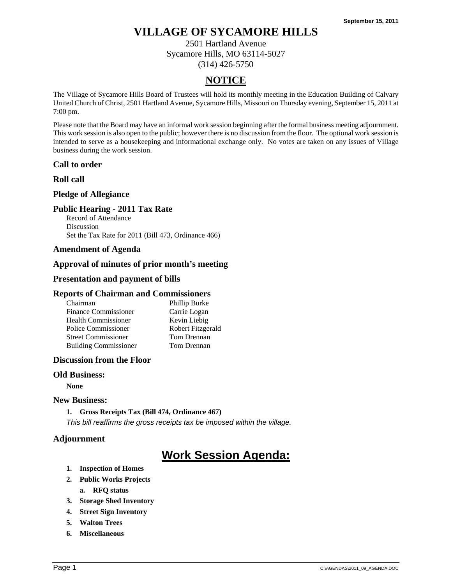2501 Hartland Avenue Sycamore Hills, MO 63114-5027 (314) 426-5750

## **NOTICE**

The Village of Sycamore Hills Board of Trustees will hold its monthly meeting in the Education Building of Calvary United Church of Christ, 2501 Hartland Avenue, Sycamore Hills, Missouri on Thursday evening, September 15, 2011 at 7:00 pm.

Please note that the Board may have an informal work session beginning after the formal business meeting adjournment. This work session is also open to the public; however there is no discussion from the floor. The optional work session is intended to serve as a housekeeping and informational exchange only. No votes are taken on any issues of Village business during the work session.

## **Call to order**

## **Roll call**

## **Pledge of Allegiance**

## **Public Hearing - 2011 Tax Rate**

Record of Attendance Discussion Set the Tax Rate for 2011 (Bill 473, Ordinance 466)

## **Amendment of Agenda**

## **Approval of minutes of prior month's meeting**

## **Presentation and payment of bills**

### **Reports of Chairman and Commissioners**

| Chairman                     | Phillip Burke     |
|------------------------------|-------------------|
| <b>Finance Commissioner</b>  | Carrie Logan      |
| <b>Health Commissioner</b>   | Kevin Liebig      |
| Police Commissioner          | Robert Fitzgerald |
| <b>Street Commissioner</b>   | Tom Drennan       |
| <b>Building Commissioner</b> | Tom Drennan       |

## **Discussion from the Floor**

#### **Old Business:**

**None** 

## **New Business:**

**1. Gross Receipts Tax (Bill 474, Ordinance 467)**  *This bill reaffirms the gross receipts tax be imposed within the village.* 

## **Adjournment**

- **1. Inspection of Homes**
- **2. Public Works Projects** 
	- **a. RFQ status**
- **3. Storage Shed Inventory**
- **4. Street Sign Inventory**
- **5. Walton Trees**
- **6. Miscellaneous**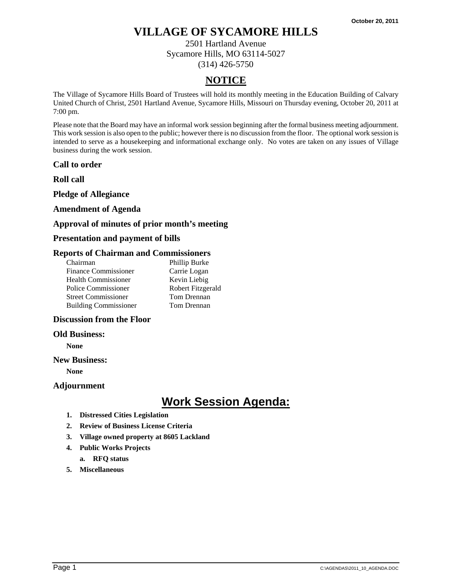2501 Hartland Avenue Sycamore Hills, MO 63114-5027 (314) 426-5750

## **NOTICE**

The Village of Sycamore Hills Board of Trustees will hold its monthly meeting in the Education Building of Calvary United Church of Christ, 2501 Hartland Avenue, Sycamore Hills, Missouri on Thursday evening, October 20, 2011 at 7:00 pm.

Please note that the Board may have an informal work session beginning after the formal business meeting adjournment. This work session is also open to the public; however there is no discussion from the floor. The optional work session is intended to serve as a housekeeping and informational exchange only. No votes are taken on any issues of Village business during the work session.

**Call to order** 

**Roll call** 

**Pledge of Allegiance** 

## **Amendment of Agenda**

## **Approval of minutes of prior month's meeting**

## **Presentation and payment of bills**

## **Reports of Chairman and Commissioners**

| Chairman                     | Phillip Burke     |
|------------------------------|-------------------|
| <b>Finance Commissioner</b>  | Carrie Logan      |
| <b>Health Commissioner</b>   | Kevin Liebig      |
| Police Commissioner          | Robert Fitzgerald |
| <b>Street Commissioner</b>   | Tom Drennan       |
| <b>Building Commissioner</b> | Tom Drennan       |
|                              |                   |

## **Discussion from the Floor**

#### **Old Business:**

**None** 

#### **New Business:**

**None** 

#### **Adjournment**

- **1. Distressed Cities Legislation**
- **2. Review of Business License Criteria**
- **3. Village owned property at 8605 Lackland**
- **4. Public Works Projects** 
	- **a. RFQ status**
- **5. Miscellaneous**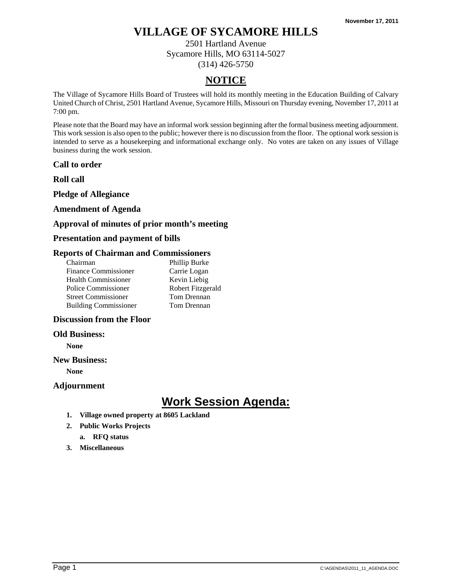2501 Hartland Avenue Sycamore Hills, MO 63114-5027 (314) 426-5750

## **NOTICE**

The Village of Sycamore Hills Board of Trustees will hold its monthly meeting in the Education Building of Calvary United Church of Christ, 2501 Hartland Avenue, Sycamore Hills, Missouri on Thursday evening, November 17, 2011 at 7:00 pm.

Please note that the Board may have an informal work session beginning after the formal business meeting adjournment. This work session is also open to the public; however there is no discussion from the floor. The optional work session is intended to serve as a housekeeping and informational exchange only. No votes are taken on any issues of Village business during the work session.

**Call to order** 

**Roll call** 

**Pledge of Allegiance** 

## **Amendment of Agenda**

## **Approval of minutes of prior month's meeting**

## **Presentation and payment of bills**

## **Reports of Chairman and Commissioners**

| Chairman                     | Phillip Burke     |
|------------------------------|-------------------|
| <b>Finance Commissioner</b>  | Carrie Logan      |
| <b>Health Commissioner</b>   | Kevin Liebig      |
| Police Commissioner          | Robert Fitzgerald |
| <b>Street Commissioner</b>   | Tom Drennan       |
| <b>Building Commissioner</b> | Tom Drennan       |
|                              |                   |

## **Discussion from the Floor**

#### **Old Business:**

**None** 

#### **New Business:**

**None** 

#### **Adjournment**

# **Work Session Agenda:**

- **1. Village owned property at 8605 Lackland**
- **2. Public Works Projects**

## **a. RFQ status**

**3. Miscellaneous**